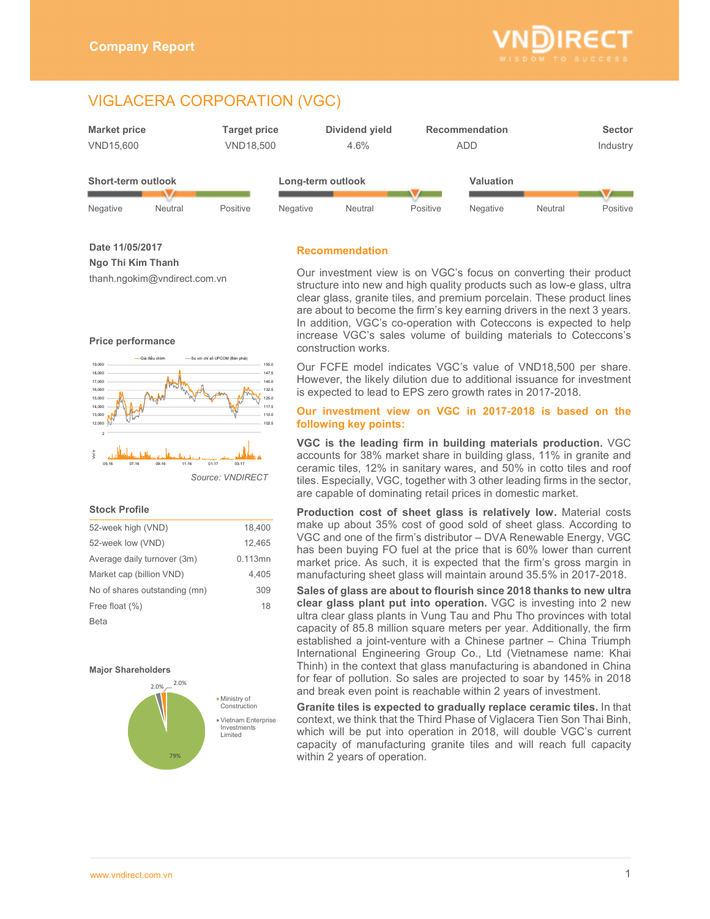

# VIGLACERA CORPORATION (VGC)



**Date 11/05/2017 Ngo Thi Kim Thanh**  thanh.ngokim@vndirect.com.vn

# **Recommendation**

**Price performance** 



## **Stock Profile**

| 52-week high (VND)            | 18,400  |
|-------------------------------|---------|
| 52-week low (VND)             | 12.465  |
| Average daily turnover (3m)   | 0.113mn |
| Market cap (billion VND)      | 4.405   |
| No of shares outstanding (mn) | 309     |
| Free float (%)                | 18      |
| Beta                          |         |

### **Major Shareholders**



Our investment view is on VGC's focus on converting their product structure into new and high quality products such as low-e glass, ultra clear glass, granite tiles, and premium porcelain. These product lines are about to become the firm's key earning drivers in the next 3 years. In addition, VGC's co-operation with Coteccons is expected to help increase VGC's sales volume of building materials to Coteccons's construction works.

Our FCFE model indicates VGC's value of VND18,500 per share. However, the likely dilution due to additional issuance for investment is expected to lead to EPS zero growth rates in 2017-2018.

## **Our investment view on VGC in 2017-2018 is based on the following key points:**

**VGC is the leading firm in building materials production.** VGC accounts for 38% market share in building glass, 11% in granite and ceramic tiles, 12% in sanitary wares, and 50% in cotto tiles and roof tiles. Especially, VGC, together with 3 other leading firms in the sector, are capable of dominating retail prices in domestic market.

**Production cost of sheet glass is relatively low.** Material costs make up about 35% cost of good sold of sheet glass. According to VGC and one of the firm's distributor – DVA Renewable Energy, VGC has been buying FO fuel at the price that is 60% lower than current market price. As such, it is expected that the firm's gross margin in manufacturing sheet glass will maintain around 35.5% in 2017-2018.

**Sales of glass are about to flourish since 2018 thanks to new ultra clear glass plant put into operation.** VGC is investing into 2 new ultra clear glass plants in Vung Tau and Phu Tho provinces with total capacity of 85.8 million square meters per year. Additionally, the firm established a joint-venture with a Chinese partner – China Triumph International Engineering Group Co., Ltd (Vietnamese name: Khai Thinh) in the context that glass manufacturing is abandoned in China for fear of pollution. So sales are projected to soar by 145% in 2018 and break even point is reachable within 2 years of investment.

**Granite tiles is expected to gradually replace ceramic tiles.** In that context, we think that the Third Phase of Viglacera Tien Son Thai Binh, which will be put into operation in 2018, will double VGC's current capacity of manufacturing granite tiles and will reach full capacity within 2 years of operation.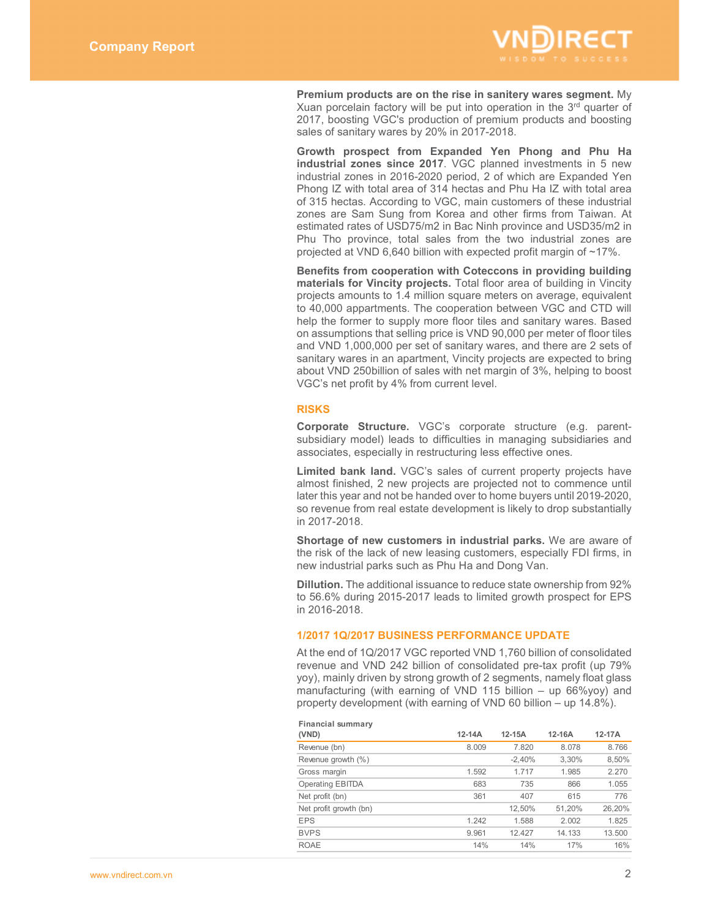

**Premium products are on the rise in sanitery wares segment.** My Xuan porcelain factory will be put into operation in the  $3<sup>rd</sup>$  quarter of 2017, boosting VGC's production of premium products and boosting sales of sanitary wares by 20% in 2017-2018.

**Growth prospect from Expanded Yen Phong and Phu Ha industrial zones since 2017**. VGC planned investments in 5 new industrial zones in 2016-2020 period, 2 of which are Expanded Yen Phong IZ with total area of 314 hectas and Phu Ha IZ with total area of 315 hectas. According to VGC, main customers of these industrial zones are Sam Sung from Korea and other firms from Taiwan. At estimated rates of USD75/m2 in Bac Ninh province and USD35/m2 in Phu Tho province, total sales from the two industrial zones are projected at VND 6,640 billion with expected profit margin of ~17%.

**Benefits from cooperation with Coteccons in providing building materials for Vincity projects.** Total floor area of building in Vincity projects amounts to 1.4 million square meters on average, equivalent to 40,000 appartments. The cooperation between VGC and CTD will help the former to supply more floor tiles and sanitary wares. Based on assumptions that selling price is VND 90,000 per meter of floor tiles and VND 1,000,000 per set of sanitary wares, and there are 2 sets of sanitary wares in an apartment, Vincity projects are expected to bring about VND 250billion of sales with net margin of 3%, helping to boost VGC's net profit by 4% from current level.

### **RISKS**

**Corporate Structure.** VGC's corporate structure (e.g. parentsubsidiary model) leads to difficulties in managing subsidiaries and associates, especially in restructuring less effective ones.

Limited bank land. VGC's sales of current property projects have almost finished, 2 new projects are projected not to commence until later this year and not be handed over to home buyers until 2019-2020, so revenue from real estate development is likely to drop substantially in 2017-2018.

**Shortage of new customers in industrial parks.** We are aware of the risk of the lack of new leasing customers, especially FDI firms, in new industrial parks such as Phu Ha and Dong Van.

**Dillution.** The additional issuance to reduce state ownership from 92% to 56.6% during 2015-2017 leads to limited growth prospect for EPS in 2016-2018.

## **1/2017 1Q/2017 BUSINESS PERFORMANCE UPDATE**

At the end of 1Q/2017 VGC reported VND 1,760 billion of consolidated revenue and VND 242 billion of consolidated pre-tax profit (up 79% yoy), mainly driven by strong growth of 2 segments, namely float glass manufacturing (with earning of VND 115 billion – up 66%yoy) and property development (with earning of VND 60 billion – up 14.8%).

| Financial summary       |          |          |        |        |
|-------------------------|----------|----------|--------|--------|
| (VND)                   | $12-14A$ | $12-15A$ | 12-16A | 12-17A |
| Revenue (bn)            | 8.009    | 7.820    | 8.078  | 8.766  |
| Revenue growth (%)      |          | $-2,40%$ | 3,30%  | 8,50%  |
| Gross margin            | 1.592    | 1.717    | 1.985  | 2.270  |
| <b>Operating EBITDA</b> | 683      | 735      | 866    | 1.055  |
| Net profit (bn)         | 361      | 407      | 615    | 776    |
| Net profit growth (bn)  |          | 12,50%   | 51,20% | 26,20% |
| <b>EPS</b>              | 1.242    | 1.588    | 2.002  | 1.825  |
| <b>BVPS</b>             | 9.961    | 12.427   | 14.133 | 13.500 |
| <b>ROAE</b>             | 14%      | 14%      | 17%    | 16%    |

# **Financial summary**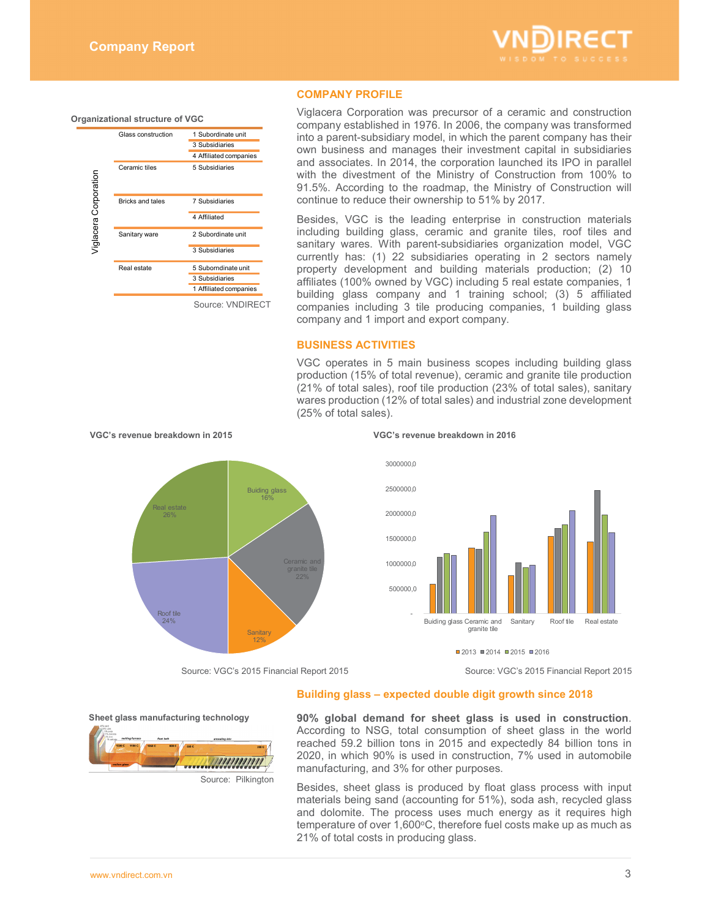

### **Organizational structure of VGC**

|                       | Glass construction      | 1 Subordinate unit<br>3 Subsidiaries<br>4 Affiliated companies |
|-----------------------|-------------------------|----------------------------------------------------------------|
| Viglacera Corporation | Ceramic tiles           | 5 Subsidiaries                                                 |
|                       | <b>Bricks and tales</b> | 7 Subsidiaries                                                 |
|                       |                         | 4 Affiliated                                                   |
|                       | Sanitary ware           | 2 Subordinate unit                                             |
|                       |                         | 3 Subsidiaries                                                 |
|                       | Real estate             | 5 Suborndinate unit                                            |
|                       |                         | 3 Subsidiaries                                                 |
|                       |                         | 1 Affiliated companies                                         |
|                       |                         | Source: VNDIRECT                                               |

# **COMPANY PROFILE**

Viglacera Corporation was precursor of a ceramic and construction company established in 1976. In 2006, the company was transformed into a parent-subsidiary model, in which the parent company has their own business and manages their investment capital in subsidiaries and associates. In 2014, the corporation launched its IPO in parallel with the divestment of the Ministry of Construction from 100% to 91.5%. According to the roadmap, the Ministry of Construction will continue to reduce their ownership to 51% by 2017.

Besides, VGC is the leading enterprise in construction materials including building glass, ceramic and granite tiles, roof tiles and sanitary wares. With parent-subsidiaries organization model, VGC currently has: (1) 22 subsidiaries operating in 2 sectors namely property development and building materials production; (2) 10 affiliates (100% owned by VGC) including 5 real estate companies, 1 building glass company and 1 training school; (3) 5 affiliated companies including 3 tile producing companies, 1 building glass company and 1 import and export company.

### **BUSINESS ACTIVITIES**

VGC operates in 5 main business scopes including building glass production (15% of total revenue), ceramic and granite tile production (21% of total sales), roof tile production (23% of total sales), sanitary wares production (12% of total sales) and industrial zone development (25% of total sales).



2000000,0

2500000,0

3000000,0



 $\blacksquare$ 2013  $\blacksquare$ 2014  $\blacksquare$ 2015  $\blacksquare$ 2016

Source: VGC's 2015 Financial Report 2015 Source: VGC's 2015 Financial Report 2015

## **Building glass – expected double digit growth since 2018**

**Sheet glass manufacturing technology** 



**90% global demand for sheet glass is used in construction**. According to NSG, total consumption of sheet glass in the world reached 59.2 billion tons in 2015 and expectedly 84 billion tons in 2020, in which 90% is used in construction, 7% used in automobile manufacturing, and 3% for other purposes.

Besides, sheet glass is produced by float glass process with input materials being sand (accounting for 51%), soda ash, recycled glass and dolomite. The process uses much energy as it requires high temperature of over 1,600°C, therefore fuel costs make up as much as 21% of total costs in producing glass.

### **VGC's revenue breakdown in 2015 VGC's revenue breakdown in 2016**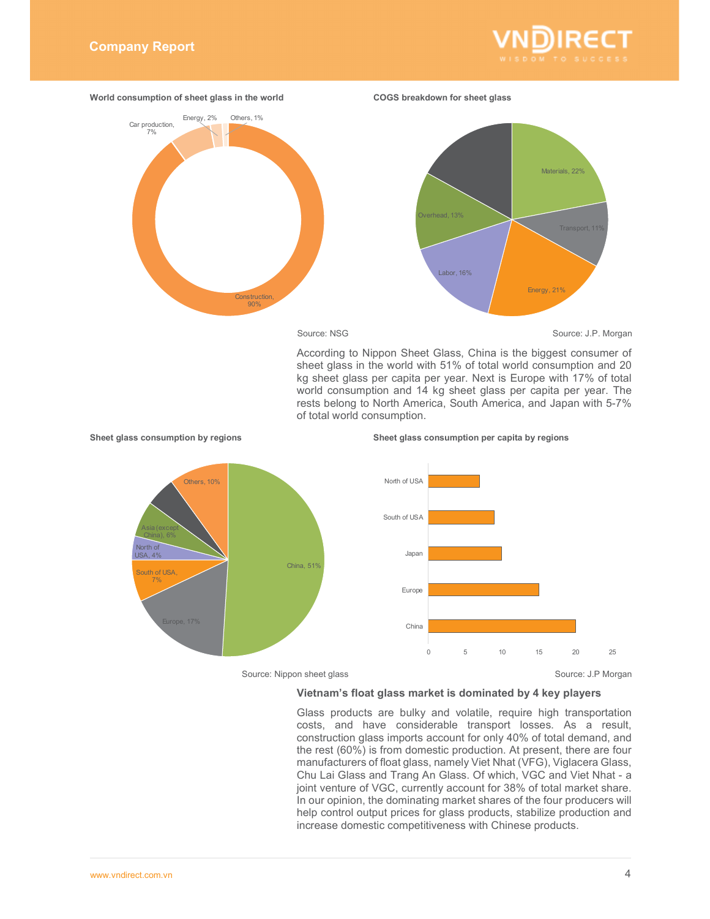



**Sheet glass consumption by regions Sheet glass consumption per capita by regions** 

Source: NSG Source: J.P. Morgan

According to Nippon Sheet Glass, China is the biggest consumer of sheet glass in the world with 51% of total world consumption and 20 kg sheet glass per capita per year. Next is Europe with 17% of total world consumption and 14 kg sheet glass per capita per year. The rests belong to North America, South America, and Japan with 5-7% of total world consumption.



Source: Nippon sheet glass Source: J.P Morgan

# **Vietnam's float glass market is dominated by 4 key players**

Glass products are bulky and volatile, require high transportation costs, and have considerable transport losses. As a result, construction glass imports account for only 40% of total demand, and the rest (60%) is from domestic production. At present, there are four manufacturers of float glass, namely Viet Nhat (VFG), Viglacera Glass, Chu Lai Glass and Trang An Glass. Of which, VGC and Viet Nhat - a joint venture of VGC, currently account for 38% of total market share. In our opinion, the dominating market shares of the four producers will help control output prices for glass products, stabilize production and increase domestic competitiveness with Chinese products.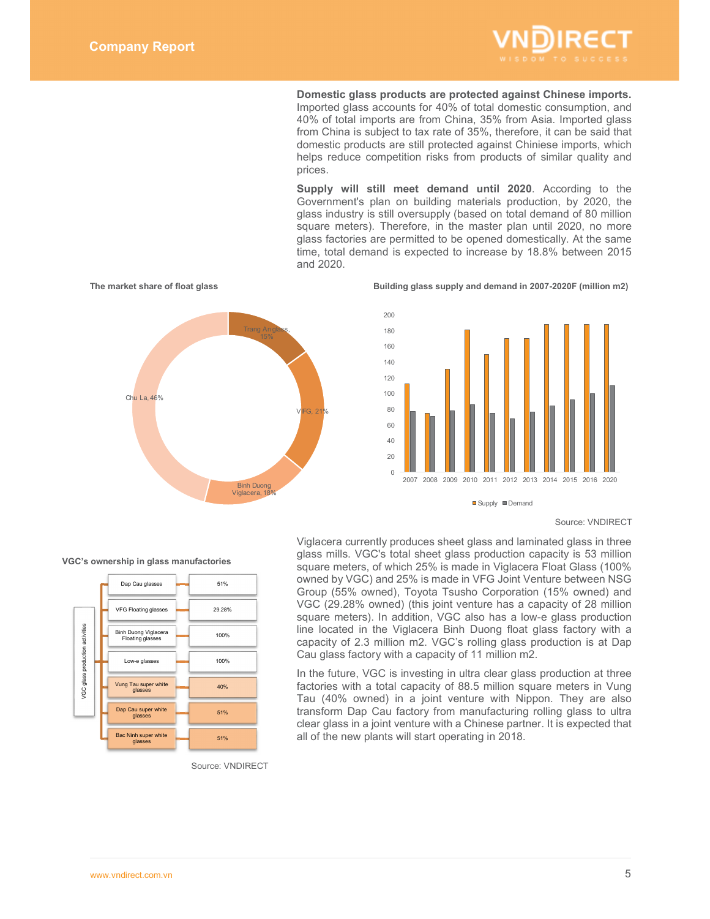

**Domestic glass products are protected against Chinese imports.**  Imported glass accounts for 40% of total domestic consumption, and 40% of total imports are from China, 35% from Asia. Imported glass from China is subject to tax rate of 35%, therefore, it can be said that domestic products are still protected against Chiniese imports, which helps reduce competition risks from products of similar quality and prices.

**Supply will still meet demand until 2020**. According to the Government's plan on building materials production, by 2020, the glass industry is still oversupply (based on total demand of 80 million square meters). Therefore, in the master plan until 2020, no more glass factories are permitted to be opened domestically. At the same time, total demand is expected to increase by 18.8% between 2015 and 2020.



The market share of float glass **Building glass supply and demand in 2007-2020F** (million m2)



Supply **Demand** 

### Source: VNDIRECT



Viglacera currently produces sheet glass and laminated glass in three glass mills. VGC's total sheet glass production capacity is 53 million square meters, of which 25% is made in Viglacera Float Glass (100% owned by VGC) and 25% is made in VFG Joint Venture between NSG Group (55% owned), Toyota Tsusho Corporation (15% owned) and VGC (29.28% owned) (this joint venture has a capacity of 28 million square meters). In addition, VGC also has a low-e glass production line located in the Viglacera Binh Duong float glass factory with a capacity of 2.3 million m2. VGC's rolling glass production is at Dap Cau glass factory with a capacity of 11 million m2.

In the future, VGC is investing in ultra clear glass production at three factories with a total capacity of 88.5 million square meters in Vung Tau (40% owned) in a joint venture with Nippon. They are also transform Dap Cau factory from manufacturing rolling glass to ultra clear glass in a joint venture with a Chinese partner. It is expected that all of the new plants will start operating in 2018.

Source: VNDIRECT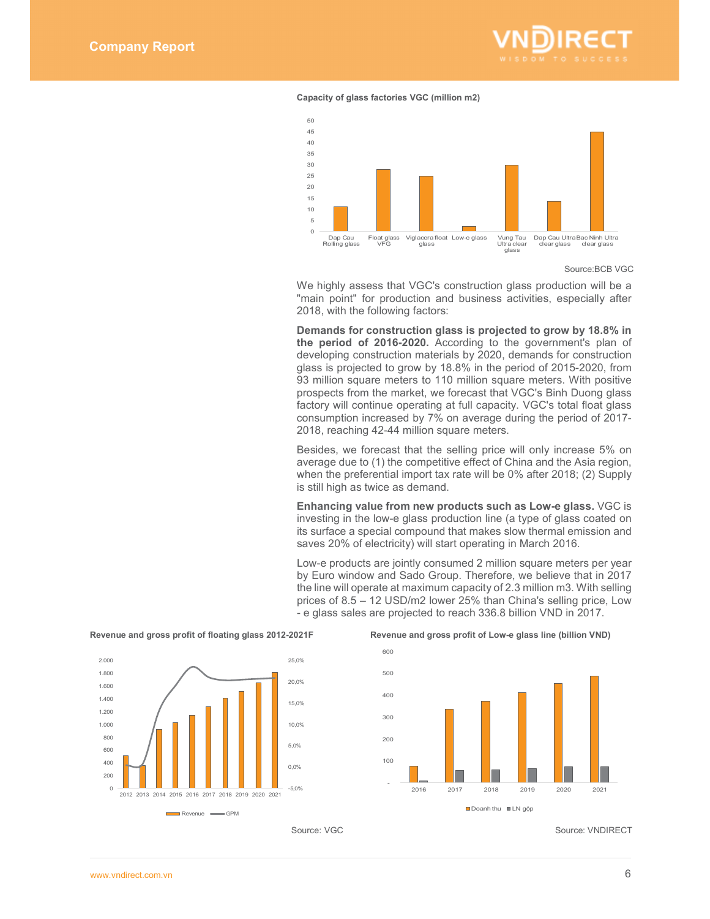

### **Capacity of glass factories VGC (million m2)**



Source:BCB VGC

We highly assess that VGC's construction glass production will be a "main point" for production and business activities, especially after 2018, with the following factors:

**Demands for construction glass is projected to grow by 18.8% in the period of 2016-2020.** According to the government's plan of developing construction materials by 2020, demands for construction glass is projected to grow by 18.8% in the period of 2015-2020, from 93 million square meters to 110 million square meters. With positive prospects from the market, we forecast that VGC's Binh Duong glass factory will continue operating at full capacity. VGC's total float glass consumption increased by 7% on average during the period of 2017- 2018, reaching 42-44 million square meters.

Besides, we forecast that the selling price will only increase 5% on average due to (1) the competitive effect of China and the Asia region, when the preferential import tax rate will be 0% after 2018; (2) Supply is still high as twice as demand.

**Enhancing value from new products such as Low-e glass.** VGC is investing in the low-e glass production line (a type of glass coated on its surface a special compound that makes slow thermal emission and saves 20% of electricity) will start operating in March 2016.

Low-e products are jointly consumed 2 million square meters per year by Euro window and Sado Group. Therefore, we believe that in 2017 the line will operate at maximum capacity of 2.3 million m3. With selling prices of 8.5 – 12 USD/m2 lower 25% than China's selling price, Low - e glass sales are projected to reach 336.8 billion VND in 2017.



### Revenue and gross profit of floating glass 2012-2021F Revenue and gross profit of Low-e glass line (billion VND)



Source: VGC Source: VNDIRECT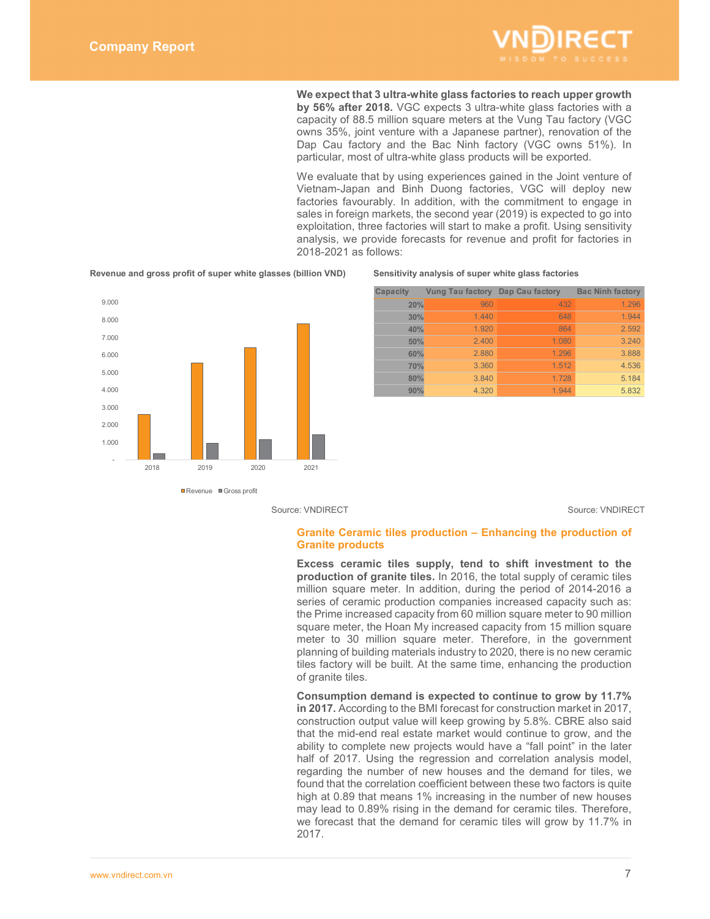

**We expect that 3 ultra-white glass factories to reach upper growth by 56% after 2018.** VGC expects 3 ultra-white glass factories with a capacity of 88.5 million square meters at the Vung Tau factory (VGC owns 35%, joint venture with a Japanese partner), renovation of the Dap Cau factory and the Bac Ninh factory (VGC owns 51%). In particular, most of ultra-white glass products will be exported.

We evaluate that by using experiences gained in the Joint venture of Vietnam-Japan and Binh Duong factories, VGC will deploy new factories favourably. In addition, with the commitment to engage in sales in foreign markets, the second year (2019) is expected to go into exploitation, three factories will start to make a profit. Using sensitivity analysis, we provide forecasts for revenue and profit for factories in 2018-2021 as follows:



**Revenue and gross profit of super white glasses (billion VND) Sensitivity analysis of super white glass factories**

| Capacity | Vung Tau factory Dap Cau factory |       | <b>Bac Ninh factory</b> |
|----------|----------------------------------|-------|-------------------------|
| 20%      | 960                              | 432   | 1.296                   |
| 30%      | 1.440                            | 648   | 1.944                   |
| 40%      | 1.920                            | 864   | 2.592                   |
| 50%      | 2.400                            | 1.080 | 3.240                   |
| 60%      | 2.880                            | 1.296 | 3.888                   |
| 70%      | 3.360                            | 1.512 | 4.536                   |
| 80%      | 3.840                            | 1.728 | 5.184                   |
| 90%      | 4.320                            | 1 944 | 5.832                   |

Source: VNDIRECT Source: VNDIRECT

## **Granite Ceramic tiles production – Enhancing the production of Granite products**

**Excess ceramic tiles supply, tend to shift investment to the production of granite tiles.** In 2016, the total supply of ceramic tiles million square meter. In addition, during the period of 2014-2016 a series of ceramic production companies increased capacity such as: the Prime increased capacity from 60 million square meter to 90 million square meter, the Hoan My increased capacity from 15 million square meter to 30 million square meter. Therefore, in the government planning of building materials industry to 2020, there is no new ceramic tiles factory will be built. At the same time, enhancing the production of granite tiles.

**Consumption demand is expected to continue to grow by 11.7% in 2017.** According to the BMI forecast for construction market in 2017, construction output value will keep growing by 5.8%. CBRE also said that the mid-end real estate market would continue to grow, and the ability to complete new projects would have a "fall point" in the later half of 2017. Using the regression and correlation analysis model, regarding the number of new houses and the demand for tiles, we found that the correlation coefficient between these two factors is quite high at 0.89 that means 1% increasing in the number of new houses may lead to 0.89% rising in the demand for ceramic tiles. Therefore, we forecast that the demand for ceramic tiles will grow by 11.7% in 2017.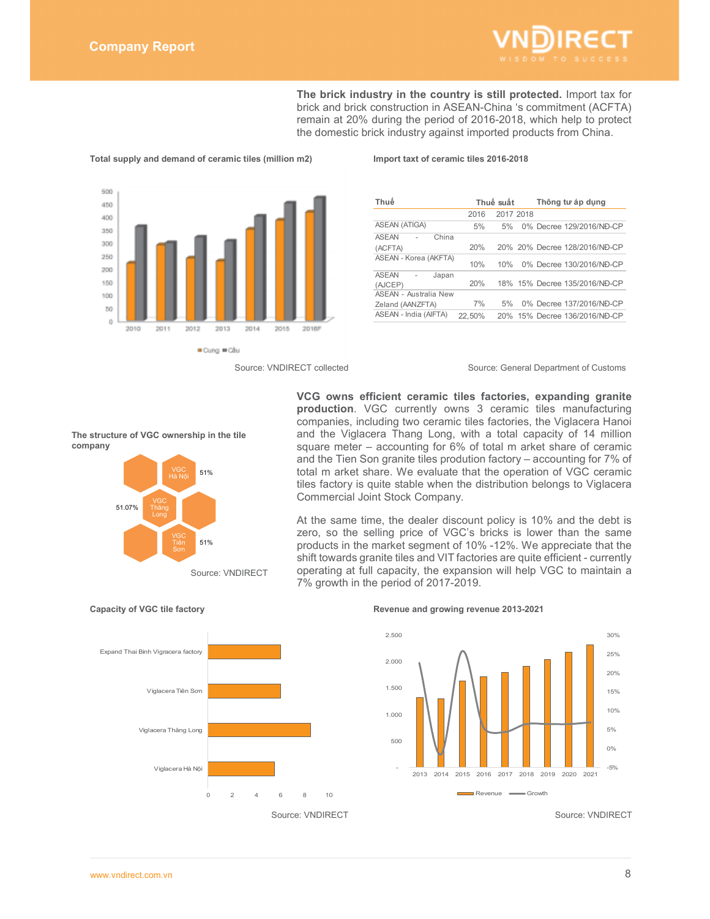

**The brick industry in the country is still protected.** Import tax for brick and brick construction in ASEAN-China 's commitment (ACFTA) remain at 20% during the period of 2016-2018, which help to protect the domestic brick industry against imported products from China.



**Total supply and demand of ceramic tiles (million m2) Import taxt of ceramic tiles 2016-2018** 

| Thuế                         |        | Thuế suất | Thông tư áp dụng              |
|------------------------------|--------|-----------|-------------------------------|
|                              | 2016   | 2017 2018 |                               |
| ASEAN (ATIGA)                | 5%     | 5%        | 0% Decree 129/2016/NĐ-CP      |
| <b>ASEAN</b><br>China        |        |           |                               |
| (ACFTA)                      | 20%    |           | 20% 20% Decree 128/2016/NĐ-CP |
| ASEAN - Korea (AKFTA)        | 10%    | 10%       | 0% Decree 130/2016/NĐ-CP      |
| <b>ASEAN</b><br>Japan        |        |           |                               |
| (AJCEP)                      | 20%    |           | 18% 15% Decree 135/2016/NĐ-CP |
| <b>ASEAN - Australia New</b> |        |           |                               |
| Zeland (AANZFTA)             | 7%     | 5%        | 0% Decree 137/2016/NĐ-CP      |
| ASEAN - India (AIFTA)        | 22.50% |           | 20% 15% Decree 136/2016/NĐ-CP |

### Source: VNDIRECT collected Source: General Department of Customs



At the same time, the dealer discount policy is 10% and the debt is zero, so the selling price of VGC's bricks is lower than the same products in the market segment of 10% -12%. We appreciate that the shift towards granite tiles and VIT factories are quite efficient - currently operating at full capacity, the expansion will help VGC to maintain a 7% growth in the period of 2017-2019.



 $51%$ 

51%



### **Capacity of VGC tile factory Revenue and growing revenue 2013-2021**



**The structure of VGC ownership in the tile company** 

Thăng

51.07%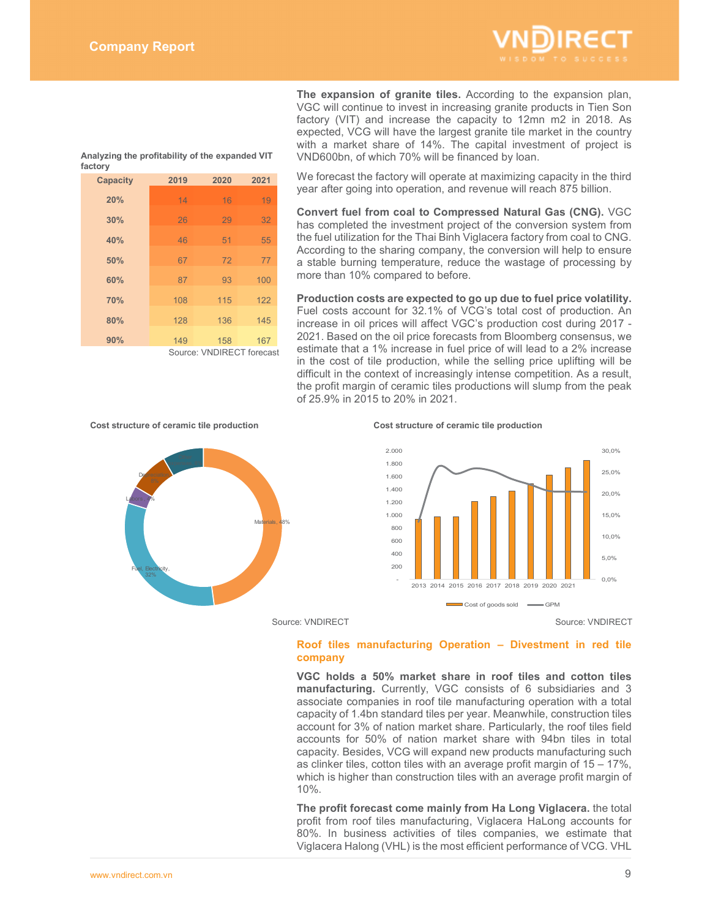

**The expansion of granite tiles.** According to the expansion plan, VGC will continue to invest in increasing granite products in Tien Son factory (VIT) and increase the capacity to 12mn m2 in 2018. As expected, VCG will have the largest granite tile market in the country with a market share of 14%. The capital investment of project is VND600bn, of which 70% will be financed by loan.

**Analyzing the profitability of the expanded VIT factory** 

| <b>Capacity</b> | 2019 | 2020                     | 2021 |
|-----------------|------|--------------------------|------|
| 20%             | 14   | 16                       | 19   |
| 30%             | 26   | 29                       | 32   |
| 40%             | 46   | 51                       | 55   |
| 50%             | 67   | 72                       | 77   |
| 60%             | 87   | 93                       | 100  |
| 70%             | 108  | 115                      | 122  |
| 80%             | 128  | 136                      | 145  |
| 90%             | 149  | 158                      | 167  |
|                 |      | Source: VNDIRFCT forecas |      |

Source: VNDIRECT forecast

We forecast the factory will operate at maximizing capacity in the third year after going into operation, and revenue will reach 875 billion.

**Convert fuel from coal to Compressed Natural Gas (CNG).** VGC has completed the investment project of the conversion system from the fuel utilization for the Thai Binh Viglacera factory from coal to CNG. According to the sharing company, the conversion will help to ensure a stable burning temperature, reduce the wastage of processing by more than 10% compared to before.

**Production costs are expected to go up due to fuel price volatility.** Fuel costs account for 32.1% of VCG's total cost of production. An increase in oil prices will affect VGC's production cost during 2017 - 2021. Based on the oil price forecasts from Bloomberg consensus, we estimate that a 1% increase in fuel price of will lead to a 2% increase

in the cost of tile production, while the selling price uplifting will be difficult in the context of increasingly intense competition. As a result, the profit margin of ceramic tiles productions will slump from the peak of 25.9% in 2015 to 20% in 2021.

### **Cost structure of ceramic tile production Cost structure of ceramic tile production**





Source: VNDIRECT Source: VNDIRECT

# **Roof tiles manufacturing Operation – Divestment in red tile company**

**VGC holds a 50% market share in roof tiles and cotton tiles manufacturing.** Currently, VGC consists of 6 subsidiaries and 3 associate companies in roof tile manufacturing operation with a total capacity of 1.4bn standard tiles per year. Meanwhile, construction tiles account for 3% of nation market share. Particularly, the roof tiles field accounts for 50% of nation market share with 94bn tiles in total capacity. Besides, VCG will expand new products manufacturing such as clinker tiles, cotton tiles with an average profit margin of 15 – 17%, which is higher than construction tiles with an average profit margin of 10%.

**The profit forecast come mainly from Ha Long Viglacera.** the total profit from roof tiles manufacturing, Viglacera HaLong accounts for 80%. In business activities of tiles companies, we estimate that Viglacera Halong (VHL) is the most efficient performance of VCG. VHL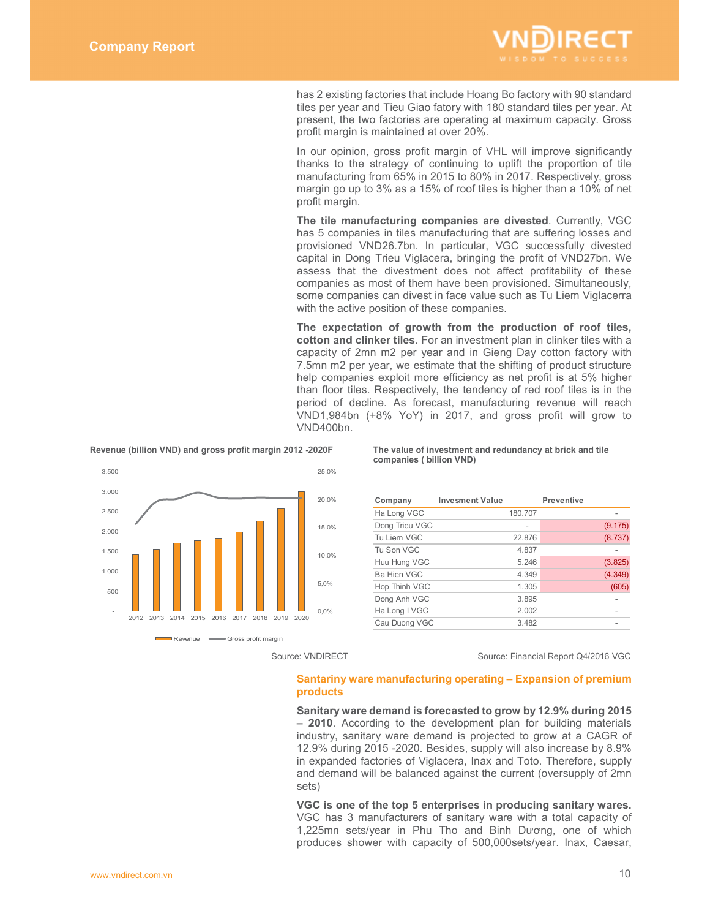

has 2 existing factories that include Hoang Bo factory with 90 standard tiles per year and Tieu Giao fatory with 180 standard tiles per year. At present, the two factories are operating at maximum capacity. Gross profit margin is maintained at over 20%.

In our opinion, gross profit margin of VHL will improve significantly thanks to the strategy of continuing to uplift the proportion of tile manufacturing from 65% in 2015 to 80% in 2017. Respectively, gross margin go up to 3% as a 15% of roof tiles is higher than a 10% of net profit margin.

**The tile manufacturing companies are divested**. Currently, VGC has 5 companies in tiles manufacturing that are suffering losses and provisioned VND26.7bn. In particular, VGC successfully divested capital in Dong Trieu Viglacera, bringing the profit of VND27bn. We assess that the divestment does not affect profitability of these companies as most of them have been provisioned. Simultaneously, some companies can divest in face value such as Tu Liem Viglacerra with the active position of these companies.

**The expectation of growth from the production of roof tiles, cotton and clinker tiles**. For an investment plan in clinker tiles with a capacity of 2mn m2 per year and in Gieng Day cotton factory with 7.5mn m2 per year, we estimate that the shifting of product structure help companies exploit more efficiency as net profit is at 5% higher than floor tiles. Respectively, the tendency of red roof tiles is in the period of decline. As forecast, manufacturing revenue will reach VND1,984bn (+8% YoY) in 2017, and gross profit will grow to VND400bn.



**Source: VNDIRECT** Source: Financial Report Q4/2016 VGC

### **Santariny ware manufacturing operating – Expansion of premium products**

**Sanitary ware demand is forecasted to grow by 12.9% during 2015 – 2010**. According to the development plan for building materials industry, sanitary ware demand is projected to grow at a CAGR of 12.9% during 2015 -2020. Besides, supply will also increase by 8.9% in expanded factories of Viglacera, Inax and Toto. Therefore, supply and demand will be balanced against the current (oversupply of 2mn sets)

**VGC is one of the top 5 enterprises in producing sanitary wares.**  VGC has 3 manufacturers of sanitary ware with a total capacity of 1,225mn sets/year in Phu Tho and Binh Dương, one of which produces shower with capacity of 500,000sets/year. Inax, Caesar,

**Revenue (billion VND) and gross profit margin 2012 -2020F The value of investment and redundancy at brick and tile companies ( billion VND)** 

| <b>Invesment Value</b> |         | <b>Preventive</b> |         |
|------------------------|---------|-------------------|---------|
|                        | 180.707 |                   |         |
|                        |         |                   | (9.175) |
|                        | 22.876  |                   | (8.737) |
|                        | 4.837   |                   |         |
|                        | 5.246   |                   | (3.825) |
|                        | 4.349   |                   | (4.349) |
|                        | 1.305   |                   | (605)   |
|                        | 3.895   |                   |         |
|                        | 2.002   |                   |         |
|                        | 3.482   |                   |         |
|                        |         |                   |         |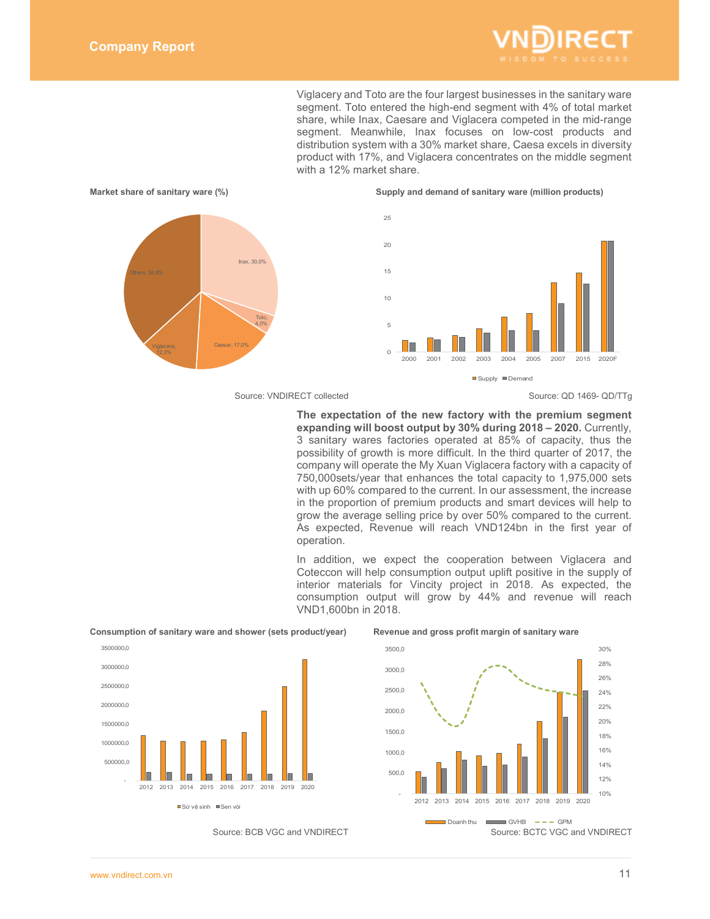

Viglacery and Toto are the four largest businesses in the sanitary ware segment. Toto entered the high-end segment with 4% of total market share, while Inax, Caesare and Viglacera competed in the mid-range segment. Meanwhile, Inax focuses on low-cost products and distribution system with a 30% market share, Caesa excels in diversity product with 17%, and Viglacera concentrates on the middle segment with a 12% market share.



Source: VNDIRECT collected Source: QD 1469- QD/TTg

**The expectation of the new factory with the premium segment expanding will boost output by 30% during 2018 – 2020.** Currently, 3 sanitary wares factories operated at 85% of capacity, thus the possibility of growth is more difficult. In the third quarter of 2017, the company will operate the My Xuan Viglacera factory with a capacity of 750,000sets/year that enhances the total capacity to 1,975,000 sets with up 60% compared to the current. In our assessment, the increase in the proportion of premium products and smart devices will help to grow the average selling price by over 50% compared to the current. As expected, Revenue will reach VND124bn in the first year of operation.

In addition, we expect the cooperation between Viglacera and Coteccon will help consumption output uplift positive in the supply of interior materials for Vincity project in 2018. As expected, the consumption output will grow by 44% and revenue will reach VND1,600bn in 2018.



**Consumption of sanitary ware and shower (sets product/year) Revenue and gross profit margin of sanitary ware** 

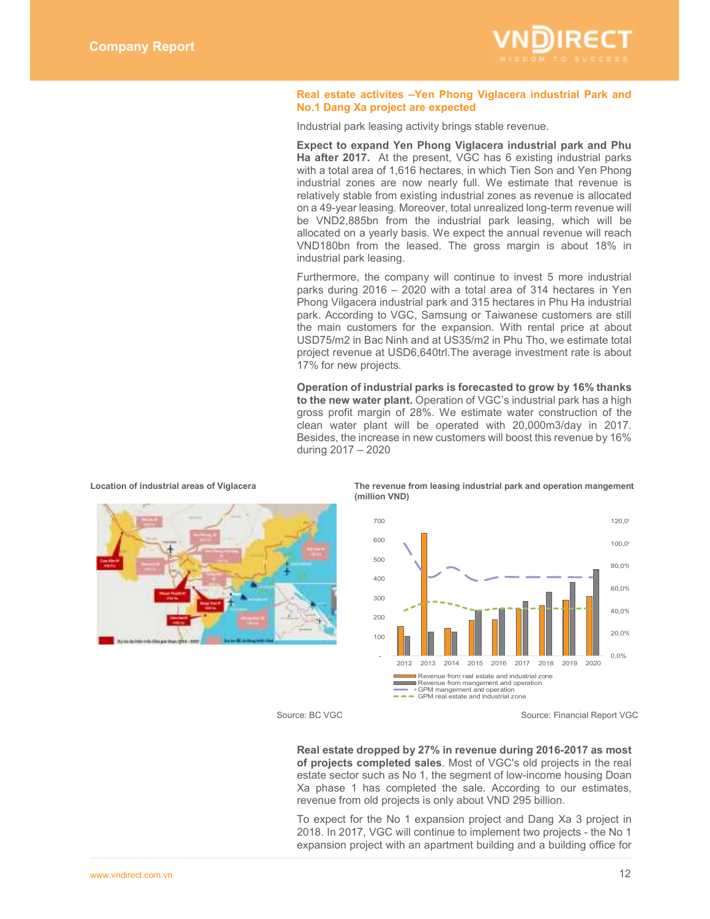

### **Real estate activites –Yen Phong Viglacera industrial Park and No.1 Dang Xa project are expected**

Industrial park leasing activity brings stable revenue.

**Expect to expand Yen Phong Viglacera industrial park and Phu Ha after 2017.** At the present, VGC has 6 existing industrial parks with a total area of 1,616 hectares, in which Tien Son and Yen Phong industrial zones are now nearly full. We estimate that revenue is relatively stable from existing industrial zones as revenue is allocated on a 49-year leasing. Moreover, total unrealized long-term revenue will be VND2,885bn from the industrial park leasing, which will be allocated on a yearly basis. We expect the annual revenue will reach VND180bn from the leased. The gross margin is about 18% in industrial park leasing.

Furthermore, the company will continue to invest 5 more industrial parks during 2016 – 2020 with a total area of 314 hectares in Yen Phong Vilgacera industrial park and 315 hectares in Phu Ha industrial park. According to VGC, Samsung or Taiwanese customers are still the main customers for the expansion. With rental price at about USD75/m2 in Bac Ninh and at US35/m2 in Phu Tho, we estimate total project revenue at USD6,640trl.The average investment rate is about 17% for new projects.

**Operation of industrial parks is forecasted to grow by 16% thanks to the new water plant.** Operation of VGC's industrial park has a high gross profit margin of 28%. We estimate water construction of the clean water plant will be operated with 20,000m3/day in 2017. Besides, the increase in new customers will boost this revenue by 16% during 2017 – 2020



Location of industrial areas of Viglacera The revenue from leasing industrial park and operation mangement **(million VND)** 



Source: BC VGC Source: Financial Report VGC

**Real estate dropped by 27% in revenue during 2016-2017 as most of projects completed sales**. Most of VGC's old projects in the real estate sector such as No 1, the segment of low-income housing Doan Xa phase 1 has completed the sale. According to our estimates, revenue from old projects is only about VND 295 billion.

To expect for the No 1 expansion project and Dang Xa 3 project in 2018. In 2017, VGC will continue to implement two projects - the No 1 expansion project with an apartment building and a building office for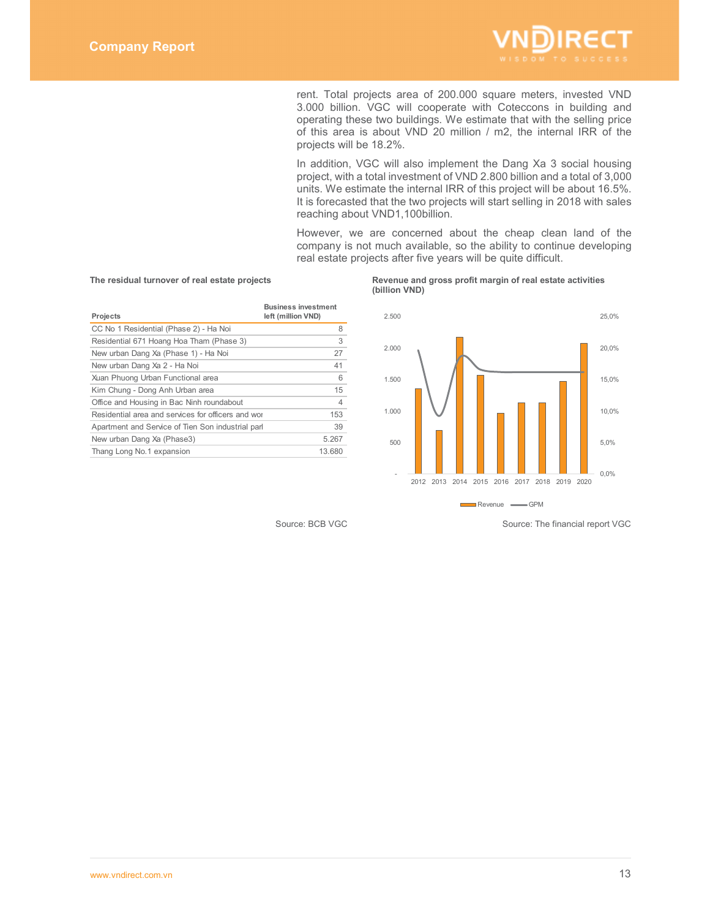

rent. Total projects area of 200.000 square meters, invested VND 3.000 billion. VGC will cooperate with Coteccons in building and operating these two buildings. We estimate that with the selling price of this area is about VND 20 million / m2, the internal IRR of the projects will be 18.2%.

In addition, VGC will also implement the Dang Xa 3 social housing project, with a total investment of VND 2.800 billion and a total of 3,000 units. We estimate the internal IRR of this project will be about 16.5%. It is forecasted that the two projects will start selling in 2018 with sales reaching about VND1,100billion.

However, we are concerned about the cheap clean land of the company is not much available, so the ability to continue developing real estate projects after five years will be quite difficult.

| Projects                                           | <b>Business investment</b><br>left (million VND) |
|----------------------------------------------------|--------------------------------------------------|
| CC No 1 Residential (Phase 2) - Ha Noi             | 8                                                |
| Residential 671 Hoang Hoa Tham (Phase 3)           | 3                                                |
| New urban Dang Xa (Phase 1) - Ha Noi               | 27                                               |
| New urban Dang Xa 2 - Ha Noi                       | 41                                               |
| Xuan Phuong Urban Functional area                  | 6                                                |
| Kim Chung - Dong Anh Urban area                    | 15                                               |
| Office and Housing in Bac Ninh roundabout          | 4                                                |
| Residential area and services for officers and wor | 153                                              |
| Apartment and Service of Tien Son industrial parl  | 39                                               |
| New urban Dang Xa (Phase3)                         | 5.267                                            |
| Thang Long No.1 expansion                          | 13.680                                           |
|                                                    |                                                  |

### **The residual turnover of real estate projects Revenue and gross profit margin of real estate activities (billion VND)**



Source: BCB VGC Source: The financial report VGC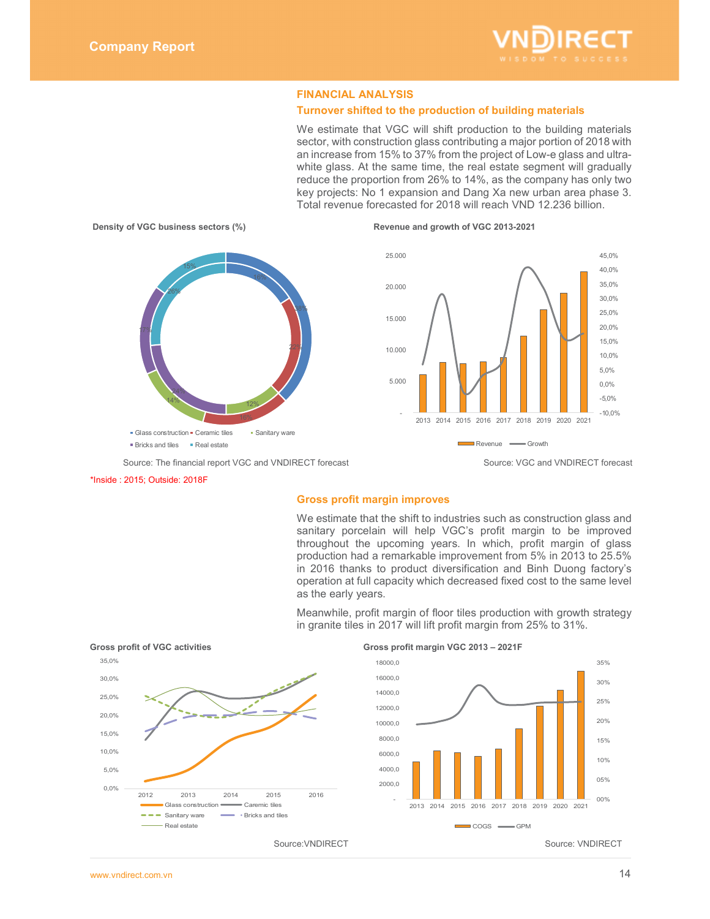

# **FINANCIAL ANALYSIS**

# **Turnover shifted to the production of building materials**

We estimate that VGC will shift production to the building materials sector, with construction glass contributing a major portion of 2018 with an increase from 15% to 37% from the project of Low-e glass and ultrawhite glass. At the same time, the real estate segment will gradually reduce the proportion from 26% to 14%, as the company has only two key projects: No 1 expansion and Dang Xa new urban area phase 3. Total revenue forecasted for 2018 will reach VND 12.236 billion.



### \*Inside : 2015; Outside: 2018F

### **Gross profit margin improves**

We estimate that the shift to industries such as construction glass and sanitary porcelain will help VGC's profit margin to be improved throughout the upcoming years. In which, profit margin of glass production had a remarkable improvement from 5% in 2013 to 25.5% in 2016 thanks to product diversification and Binh Duong factory's operation at full capacity which decreased fixed cost to the same level as the early years.

Meanwhile, profit margin of floor tiles production with growth strategy in granite tiles in 2017 will lift profit margin from 25% to 31%.

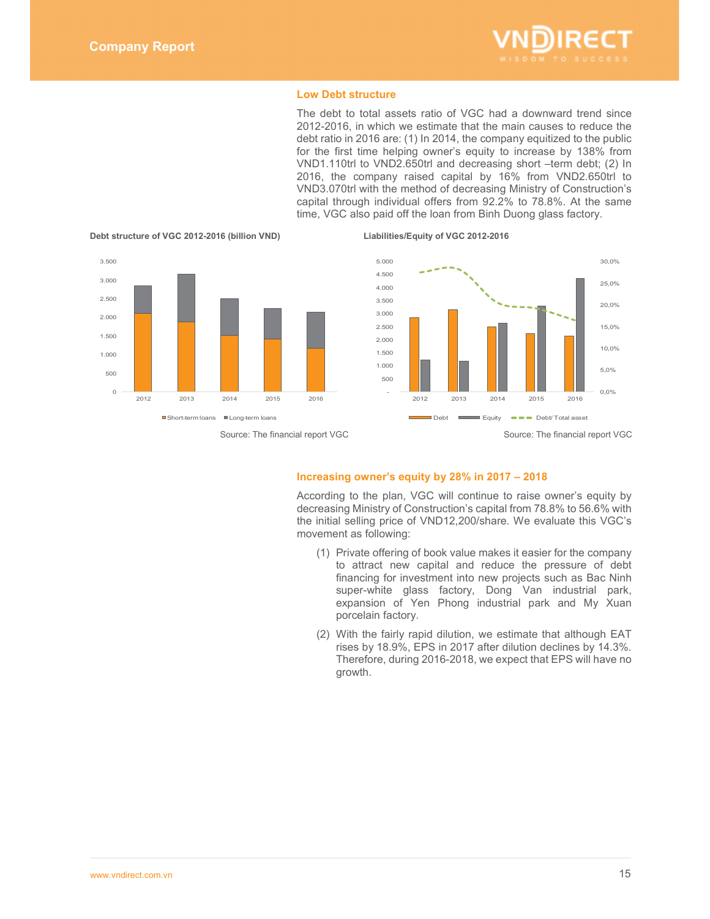

### **Low Debt structure**

The debt to total assets ratio of VGC had a downward trend since 2012-2016, in which we estimate that the main causes to reduce the debt ratio in 2016 are: (1) In 2014, the company equitized to the public for the first time helping owner's equity to increase by 138% from VND1.110trl to VND2.650trl and decreasing short –term debt; (2) In 2016, the company raised capital by 16% from VND2.650trl to VND3.070trl with the method of decreasing Ministry of Construction's capital through individual offers from 92.2% to 78.8%. At the same time, VGC also paid off the loan from Binh Duong glass factory.







## **Increasing owner's equity by 28% in 2017 – 2018**

According to the plan, VGC will continue to raise owner's equity by decreasing Ministry of Construction's capital from 78.8% to 56.6% with the initial selling price of VND12,200/share. We evaluate this VGC's movement as following:

- (1) Private offering of book value makes it easier for the company to attract new capital and reduce the pressure of debt financing for investment into new projects such as Bac Ninh super-white glass factory, Dong Van industrial park, expansion of Yen Phong industrial park and My Xuan porcelain factory.
- (2) With the fairly rapid dilution, we estimate that although EAT rises by 18.9%, EPS in 2017 after dilution declines by 14.3%. Therefore, during 2016-2018, we expect that EPS will have no growth.

**Debt structure of VGC 2012-2016 (billion VND) Liabilities/Equity of VGC 2012-2016**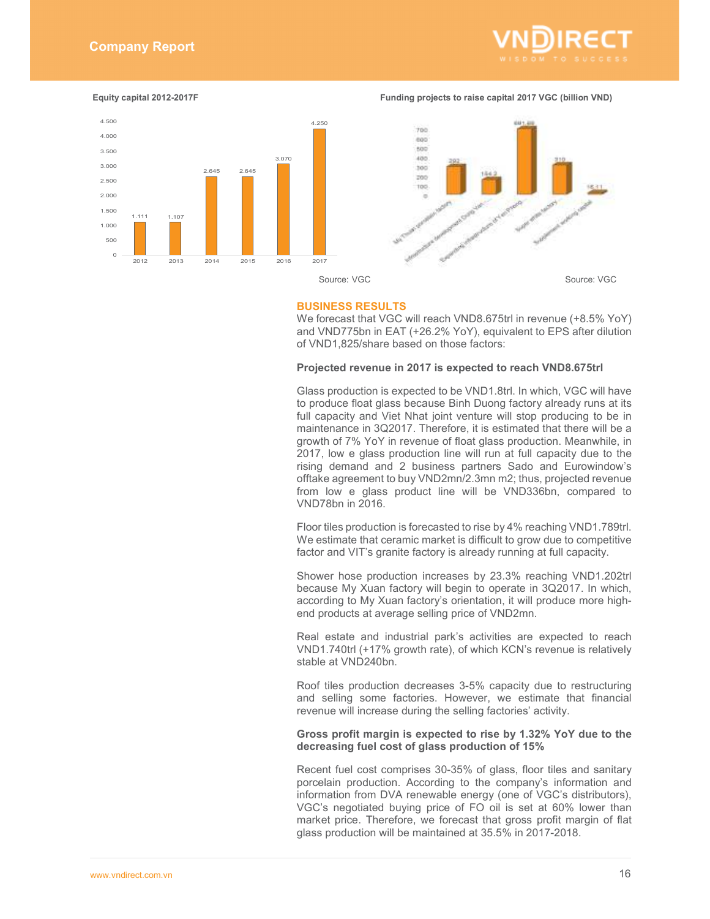

**Equity capital 2012-2017F <b>Funding projects to raise capital 2017 VGC** (billion VND)





Source: VGC Source: VGC

### **BUSINESS RESULTS**

We forecast that VGC will reach VND8.675trl in revenue (+8.5% YoY) and VND775bn in EAT (+26.2% YoY), equivalent to EPS after dilution of VND1,825/share based on those factors:

### **Projected revenue in 2017 is expected to reach VND8.675trl**

Glass production is expected to be VND1.8trl. In which, VGC will have to produce float glass because Binh Duong factory already runs at its full capacity and Viet Nhat joint venture will stop producing to be in maintenance in 3Q2017. Therefore, it is estimated that there will be a growth of 7% YoY in revenue of float glass production. Meanwhile, in 2017, low e glass production line will run at full capacity due to the rising demand and 2 business partners Sado and Eurowindow's offtake agreement to buy VND2mn/2.3mn m2; thus, projected revenue from low e glass product line will be VND336bn, compared to VND78bn in 2016.

Floor tiles production is forecasted to rise by 4% reaching VND1.789trl. We estimate that ceramic market is difficult to grow due to competitive factor and VIT's granite factory is already running at full capacity.

Shower hose production increases by 23.3% reaching VND1.202trl because My Xuan factory will begin to operate in 3Q2017. In which, according to My Xuan factory's orientation, it will produce more highend products at average selling price of VND2mn.

Real estate and industrial park's activities are expected to reach VND1.740trl (+17% growth rate), of which KCN's revenue is relatively stable at VND240bn.

Roof tiles production decreases 3-5% capacity due to restructuring and selling some factories. However, we estimate that financial revenue will increase during the selling factories' activity.

# **Gross profit margin is expected to rise by 1.32% YoY due to the decreasing fuel cost of glass production of 15%**

Recent fuel cost comprises 30-35% of glass, floor tiles and sanitary porcelain production. According to the company's information and information from DVA renewable energy (one of VGC's distributors), VGC's negotiated buying price of FO oil is set at 60% lower than market price. Therefore, we forecast that gross profit margin of flat glass production will be maintained at 35.5% in 2017-2018.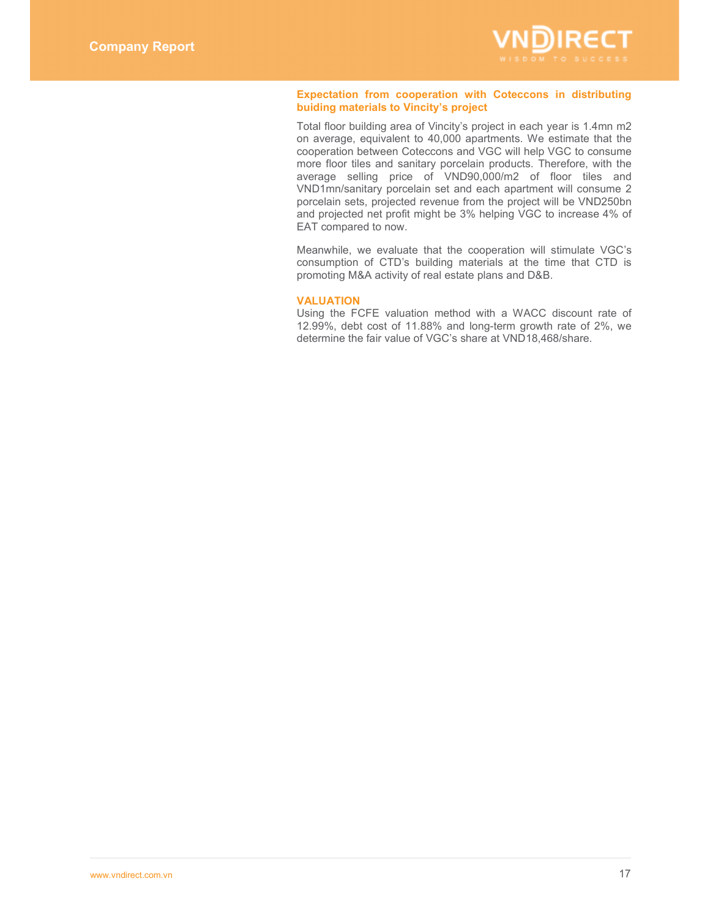

# **Expectation from cooperation with Coteccons in distributing buiding materials to Vincity's project**

Total floor building area of Vincity's project in each year is 1.4mn m2 on average, equivalent to 40,000 apartments. We estimate that the cooperation between Coteccons and VGC will help VGC to consume more floor tiles and sanitary porcelain products. Therefore, with the average selling price of VND90,000/m2 of floor tiles and VND1mn/sanitary porcelain set and each apartment will consume 2 porcelain sets, projected revenue from the project will be VND250bn and projected net profit might be 3% helping VGC to increase 4% of EAT compared to now.

Meanwhile, we evaluate that the cooperation will stimulate VGC's consumption of CTD's building materials at the time that CTD is promoting M&A activity of real estate plans and D&B.

## **VALUATION**

Using the FCFE valuation method with a WACC discount rate of 12.99%, debt cost of 11.88% and long-term growth rate of 2%, we determine the fair value of VGC's share at VND18,468/share.